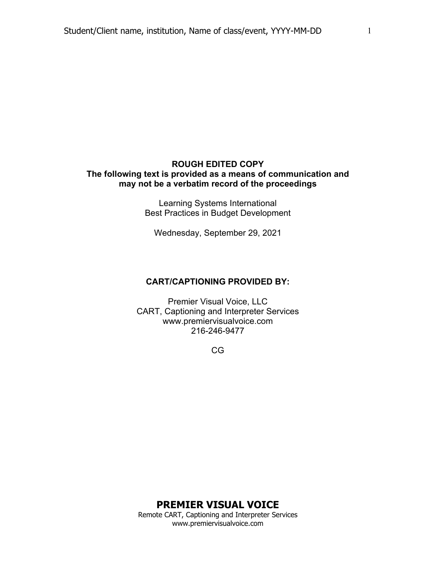#### **ROUGH EDITED COPY The following text is provided as a means of communication and may not be a verbatim record of the proceedings**

Learning Systems International Best Practices in Budget Development

Wednesday, September 29, 2021

#### **CART/CAPTIONING PROVIDED BY:**

Premier Visual Voice, LLC CART, Captioning and Interpreter Services www.premiervisualvoice.com 216-246-9477

CG

1

# **PREMIER VISUAL VOICE**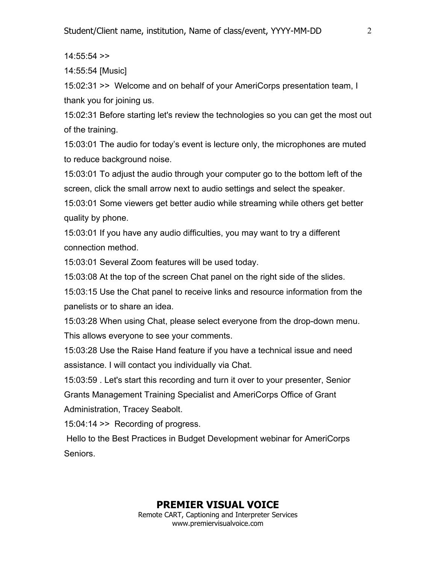$14:55:54$  >>

14:55:54 [Music]

15:02:31 >> Welcome and on behalf of your AmeriCorps presentation team, I thank you for joining us.

15:02:31 Before starting let's review the technologies so you can get the most out of the training.

15:03:01 The audio for today's event is lecture only, the microphones are muted to reduce background noise.

15:03:01 To adjust the audio through your computer go to the bottom left of the screen, click the small arrow next to audio settings and select the speaker.

15:03:01 Some viewers get better audio while streaming while others get better quality by phone.

15:03:01 If you have any audio difficulties, you may want to try a different connection method.

15:03:01 Several Zoom features will be used today.

15:03:08 At the top of the screen Chat panel on the right side of the slides.

15:03:15 Use the Chat panel to receive links and resource information from the panelists or to share an idea.

15:03:28 When using Chat, please select everyone from the drop-down menu. This allows everyone to see your comments.

15:03:28 Use the Raise Hand feature if you have a technical issue and need assistance. I will contact you individually via Chat.

15:03:59 . Let's start this recording and turn it over to your presenter, Senior Grants Management Training Specialist and AmeriCorps Office of Grant Administration, Tracey Seabolt.

15:04:14 >> Recording of progress.

Hello to the Best Practices in Budget Development webinar for AmeriCorps Seniors.

## **PREMIER VISUAL VOICE**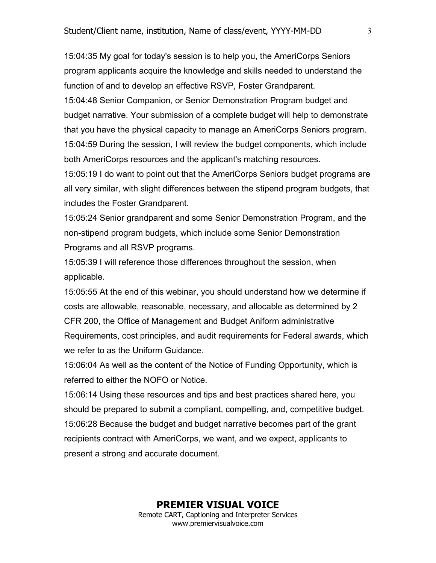15:04:35 My goal for today's session is to help you, the AmeriCorps Seniors program applicants acquire the knowledge and skills needed to understand the function of and to develop an effective RSVP, Foster Grandparent.

15:04:48 Senior Companion, or Senior Demonstration Program budget and budget narrative. Your submission of a complete budget will help to demonstrate that you have the physical capacity to manage an AmeriCorps Seniors program. 15:04:59 During the session, I will review the budget components, which include both AmeriCorps resources and the applicant's matching resources.

15:05:19 I do want to point out that the AmeriCorps Seniors budget programs are all very similar, with slight differences between the stipend program budgets, that includes the Foster Grandparent.

15:05:24 Senior grandparent and some Senior Demonstration Program, and the non-stipend program budgets, which include some Senior Demonstration Programs and all RSVP programs.

15:05:39 I will reference those differences throughout the session, when applicable.

15:05:55 At the end of this webinar, you should understand how we determine if costs are allowable, reasonable, necessary, and allocable as determined by 2 CFR 200, the Office of Management and Budget Aniform administrative Requirements, cost principles, and audit requirements for Federal awards, which we refer to as the Uniform Guidance.

15:06:04 As well as the content of the Notice of Funding Opportunity, which is referred to either the NOFO or Notice.

15:06:14 Using these resources and tips and best practices shared here, you should be prepared to submit a compliant, compelling, and, competitive budget. 15:06:28 Because the budget and budget narrative becomes part of the grant recipients contract with AmeriCorps, we want, and we expect, applicants to present a strong and accurate document.

3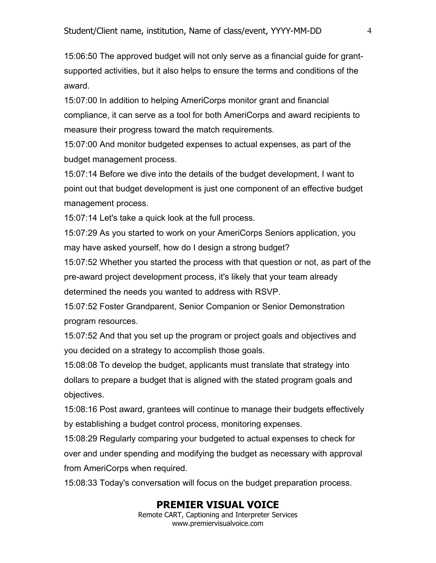15:06:50 The approved budget will not only serve as a financial guide for grantsupported activities, but it also helps to ensure the terms and conditions of the award.

15:07:00 In addition to helping AmeriCorps monitor grant and financial compliance, it can serve as a tool for both AmeriCorps and award recipients to measure their progress toward the match requirements.

15:07:00 And monitor budgeted expenses to actual expenses, as part of the budget management process.

15:07:14 Before we dive into the details of the budget development, I want to point out that budget development is just one component of an effective budget management process.

15:07:14 Let's take a quick look at the full process.

15:07:29 As you started to work on your AmeriCorps Seniors application, you may have asked yourself, how do I design a strong budget?

15:07:52 Whether you started the process with that question or not, as part of the pre-award project development process, it's likely that your team already determined the needs you wanted to address with RSVP.

15:07:52 Foster Grandparent, Senior Companion or Senior Demonstration program resources.

15:07:52 And that you set up the program or project goals and objectives and you decided on a strategy to accomplish those goals.

15:08:08 To develop the budget, applicants must translate that strategy into dollars to prepare a budget that is aligned with the stated program goals and objectives.

15:08:16 Post award, grantees will continue to manage their budgets effectively by establishing a budget control process, monitoring expenses.

15:08:29 Regularly comparing your budgeted to actual expenses to check for over and under spending and modifying the budget as necessary with approval from AmeriCorps when required.

15:08:33 Today's conversation will focus on the budget preparation process.

## **PREMIER VISUAL VOICE**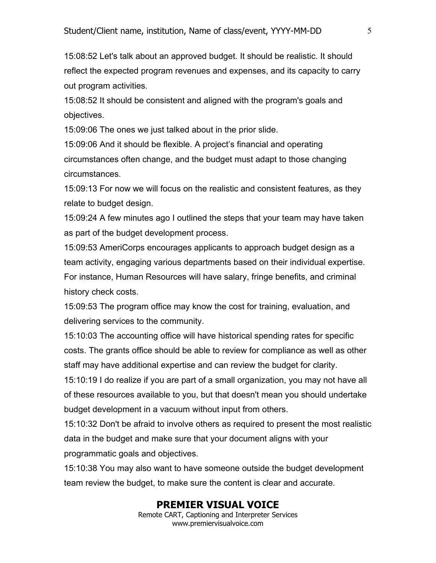15:08:52 Let's talk about an approved budget. It should be realistic. It should reflect the expected program revenues and expenses, and its capacity to carry out program activities.

15:08:52 It should be consistent and aligned with the program's goals and objectives.

15:09:06 The ones we just talked about in the prior slide.

15:09:06 And it should be flexible. A project's financial and operating circumstances often change, and the budget must adapt to those changing circumstances.

15:09:13 For now we will focus on the realistic and consistent features, as they relate to budget design.

15:09:24 A few minutes ago I outlined the steps that your team may have taken as part of the budget development process.

15:09:53 AmeriCorps encourages applicants to approach budget design as a team activity, engaging various departments based on their individual expertise. For instance, Human Resources will have salary, fringe benefits, and criminal history check costs.

15:09:53 The program office may know the cost for training, evaluation, and delivering services to the community.

15:10:03 The accounting office will have historical spending rates for specific costs. The grants office should be able to review for compliance as well as other staff may have additional expertise and can review the budget for clarity.

15:10:19 I do realize if you are part of a small organization, you may not have all of these resources available to you, but that doesn't mean you should undertake budget development in a vacuum without input from others.

15:10:32 Don't be afraid to involve others as required to present the most realistic data in the budget and make sure that your document aligns with your programmatic goals and objectives.

15:10:38 You may also want to have someone outside the budget development team review the budget, to make sure the content is clear and accurate.

## **PREMIER VISUAL VOICE**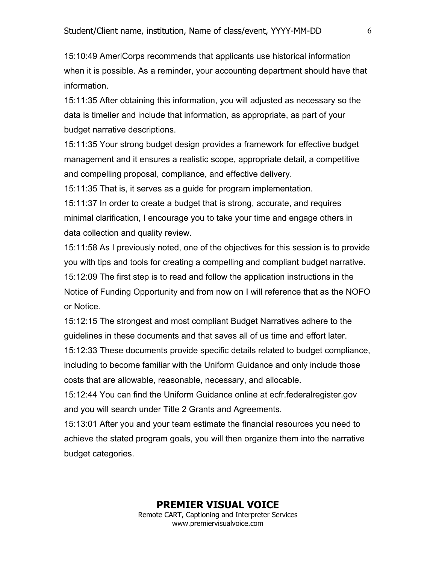15:10:49 AmeriCorps recommends that applicants use historical information when it is possible. As a reminder, your accounting department should have that information.

15:11:35 After obtaining this information, you will adjusted as necessary so the data is timelier and include that information, as appropriate, as part of your budget narrative descriptions.

15:11:35 Your strong budget design provides a framework for effective budget management and it ensures a realistic scope, appropriate detail, a competitive and compelling proposal, compliance, and effective delivery.

15:11:35 That is, it serves as a guide for program implementation.

15:11:37 In order to create a budget that is strong, accurate, and requires minimal clarification, I encourage you to take your time and engage others in data collection and quality review.

15:11:58 As I previously noted, one of the objectives for this session is to provide you with tips and tools for creating a compelling and compliant budget narrative. 15:12:09 The first step is to read and follow the application instructions in the Notice of Funding Opportunity and from now on I will reference that as the NOFO or Notice.

15:12:15 The strongest and most compliant Budget Narratives adhere to the guidelines in these documents and that saves all of us time and effort later.

15:12:33 These documents provide specific details related to budget compliance, including to become familiar with the Uniform Guidance and only include those costs that are allowable, reasonable, necessary, and allocable.

15:12:44 You can find the Uniform Guidance online at ecfr.federalregister.gov and you will search under Title 2 Grants and Agreements.

15:13:01 After you and your team estimate the financial resources you need to achieve the stated program goals, you will then organize them into the narrative budget categories.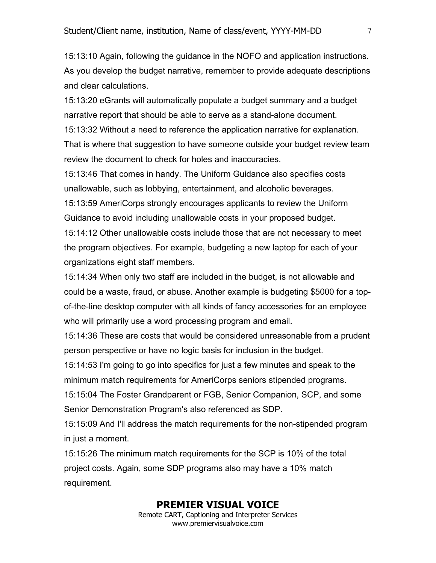15:13:10 Again, following the guidance in the NOFO and application instructions. As you develop the budget narrative, remember to provide adequate descriptions and clear calculations.

15:13:20 eGrants will automatically populate a budget summary and a budget narrative report that should be able to serve as a stand-alone document.

15:13:32 Without a need to reference the application narrative for explanation. That is where that suggestion to have someone outside your budget review team review the document to check for holes and inaccuracies.

15:13:46 That comes in handy. The Uniform Guidance also specifies costs unallowable, such as lobbying, entertainment, and alcoholic beverages.

15:13:59 AmeriCorps strongly encourages applicants to review the Uniform Guidance to avoid including unallowable costs in your proposed budget. 15:14:12 Other unallowable costs include those that are not necessary to meet

the program objectives. For example, budgeting a new laptop for each of your organizations eight staff members.

15:14:34 When only two staff are included in the budget, is not allowable and could be a waste, fraud, or abuse. Another example is budgeting \$5000 for a topof-the-line desktop computer with all kinds of fancy accessories for an employee who will primarily use a word processing program and email.

15:14:36 These are costs that would be considered unreasonable from a prudent person perspective or have no logic basis for inclusion in the budget.

15:14:53 I'm going to go into specifics for just a few minutes and speak to the minimum match requirements for AmeriCorps seniors stipended programs.

15:15:04 The Foster Grandparent or FGB, Senior Companion, SCP, and some Senior Demonstration Program's also referenced as SDP.

15:15:09 And I'll address the match requirements for the non-stipended program in just a moment.

15:15:26 The minimum match requirements for the SCP is 10% of the total project costs. Again, some SDP programs also may have a 10% match requirement.

## **PREMIER VISUAL VOICE**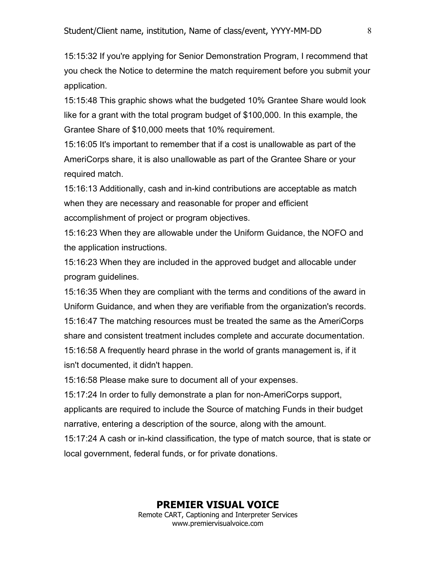15:15:32 If you're applying for Senior Demonstration Program, I recommend that you check the Notice to determine the match requirement before you submit your application.

15:15:48 This graphic shows what the budgeted 10% Grantee Share would look like for a grant with the total program budget of \$100,000. In this example, the Grantee Share of \$10,000 meets that 10% requirement.

15:16:05 It's important to remember that if a cost is unallowable as part of the AmeriCorps share, it is also unallowable as part of the Grantee Share or your required match.

15:16:13 Additionally, cash and in-kind contributions are acceptable as match when they are necessary and reasonable for proper and efficient accomplishment of project or program objectives.

15:16:23 When they are allowable under the Uniform Guidance, the NOFO and the application instructions.

15:16:23 When they are included in the approved budget and allocable under program guidelines.

15:16:35 When they are compliant with the terms and conditions of the award in Uniform Guidance, and when they are verifiable from the organization's records. 15:16:47 The matching resources must be treated the same as the AmeriCorps share and consistent treatment includes complete and accurate documentation. 15:16:58 A frequently heard phrase in the world of grants management is, if it isn't documented, it didn't happen.

15:16:58 Please make sure to document all of your expenses.

15:17:24 In order to fully demonstrate a plan for non-AmeriCorps support, applicants are required to include the Source of matching Funds in their budget narrative, entering a description of the source, along with the amount.

15:17:24 A cash or in-kind classification, the type of match source, that is state or local government, federal funds, or for private donations.

#### **PREMIER VISUAL VOICE**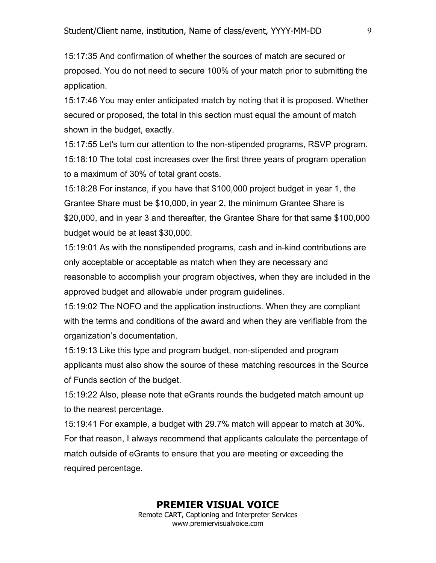15:17:35 And confirmation of whether the sources of match are secured or proposed. You do not need to secure 100% of your match prior to submitting the application.

15:17:46 You may enter anticipated match by noting that it is proposed. Whether secured or proposed, the total in this section must equal the amount of match shown in the budget, exactly.

15:17:55 Let's turn our attention to the non-stipended programs, RSVP program. 15:18:10 The total cost increases over the first three years of program operation to a maximum of 30% of total grant costs.

15:18:28 For instance, if you have that \$100,000 project budget in year 1, the Grantee Share must be \$10,000, in year 2, the minimum Grantee Share is \$20,000, and in year 3 and thereafter, the Grantee Share for that same \$100,000 budget would be at least \$30,000.

15:19:01 As with the nonstipended programs, cash and in-kind contributions are only acceptable or acceptable as match when they are necessary and reasonable to accomplish your program objectives, when they are included in the approved budget and allowable under program guidelines.

15:19:02 The NOFO and the application instructions. When they are compliant with the terms and conditions of the award and when they are verifiable from the organization's documentation.

15:19:13 Like this type and program budget, non-stipended and program applicants must also show the source of these matching resources in the Source of Funds section of the budget.

15:19:22 Also, please note that eGrants rounds the budgeted match amount up to the nearest percentage.

15:19:41 For example, a budget with 29.7% match will appear to match at 30%. For that reason, I always recommend that applicants calculate the percentage of match outside of eGrants to ensure that you are meeting or exceeding the required percentage.

# **PREMIER VISUAL VOICE**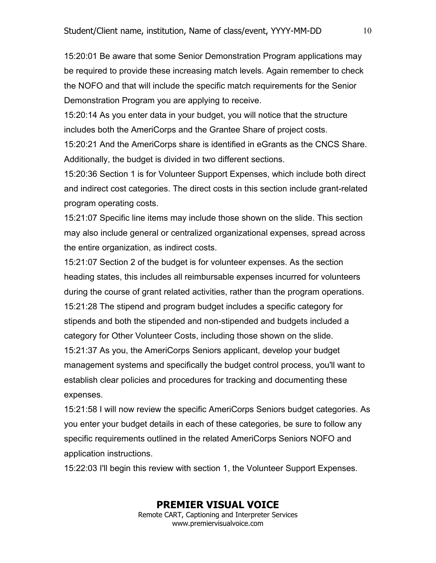15:20:01 Be aware that some Senior Demonstration Program applications may be required to provide these increasing match levels. Again remember to check the NOFO and that will include the specific match requirements for the Senior Demonstration Program you are applying to receive.

15:20:14 As you enter data in your budget, you will notice that the structure includes both the AmeriCorps and the Grantee Share of project costs.

15:20:21 And the AmeriCorps share is identified in eGrants as the CNCS Share. Additionally, the budget is divided in two different sections.

15:20:36 Section 1 is for Volunteer Support Expenses, which include both direct and indirect cost categories. The direct costs in this section include grant-related program operating costs.

15:21:07 Specific line items may include those shown on the slide. This section may also include general or centralized organizational expenses, spread across the entire organization, as indirect costs.

15:21:07 Section 2 of the budget is for volunteer expenses. As the section heading states, this includes all reimbursable expenses incurred for volunteers during the course of grant related activities, rather than the program operations. 15:21:28 The stipend and program budget includes a specific category for stipends and both the stipended and non-stipended and budgets included a category for Other Volunteer Costs, including those shown on the slide. 15:21:37 As you, the AmeriCorps Seniors applicant, develop your budget management systems and specifically the budget control process, you'll want to establish clear policies and procedures for tracking and documenting these expenses.

15:21:58 I will now review the specific AmeriCorps Seniors budget categories. As you enter your budget details in each of these categories, be sure to follow any specific requirements outlined in the related AmeriCorps Seniors NOFO and application instructions.

15:22:03 I'll begin this review with section 1, the Volunteer Support Expenses.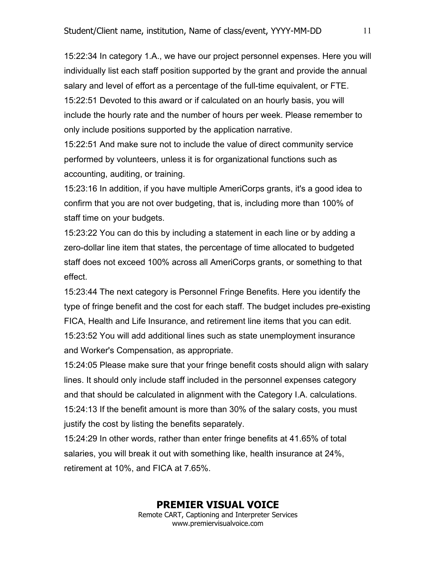15:22:34 In category 1.A., we have our project personnel expenses. Here you will individually list each staff position supported by the grant and provide the annual salary and level of effort as a percentage of the full-time equivalent, or FTE. 15:22:51 Devoted to this award or if calculated on an hourly basis, you will include the hourly rate and the number of hours per week. Please remember to only include positions supported by the application narrative.

15:22:51 And make sure not to include the value of direct community service performed by volunteers, unless it is for organizational functions such as accounting, auditing, or training.

15:23:16 In addition, if you have multiple AmeriCorps grants, it's a good idea to confirm that you are not over budgeting, that is, including more than 100% of staff time on your budgets.

15:23:22 You can do this by including a statement in each line or by adding a zero-dollar line item that states, the percentage of time allocated to budgeted staff does not exceed 100% across all AmeriCorps grants, or something to that effect.

15:23:44 The next category is Personnel Fringe Benefits. Here you identify the type of fringe benefit and the cost for each staff. The budget includes pre-existing FICA, Health and Life Insurance, and retirement line items that you can edit. 15:23:52 You will add additional lines such as state unemployment insurance and Worker's Compensation, as appropriate.

15:24:05 Please make sure that your fringe benefit costs should align with salary lines. It should only include staff included in the personnel expenses category and that should be calculated in alignment with the Category I.A. calculations. 15:24:13 If the benefit amount is more than 30% of the salary costs, you must justify the cost by listing the benefits separately.

15:24:29 In other words, rather than enter fringe benefits at 41.65% of total salaries, you will break it out with something like, health insurance at 24%, retirement at 10%, and FICA at 7.65%.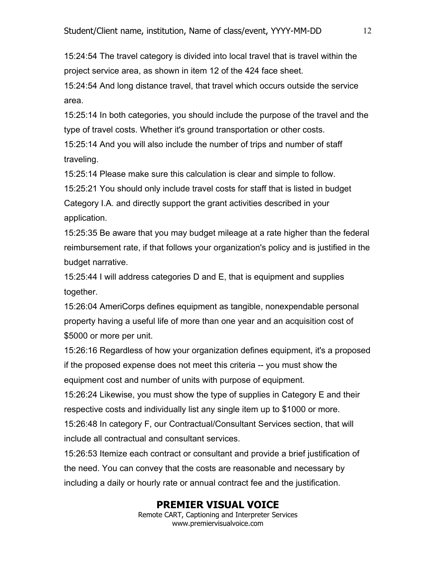15:24:54 The travel category is divided into local travel that is travel within the project service area, as shown in item 12 of the 424 face sheet.

15:24:54 And long distance travel, that travel which occurs outside the service area.

15:25:14 In both categories, you should include the purpose of the travel and the type of travel costs. Whether it's ground transportation or other costs.

15:25:14 And you will also include the number of trips and number of staff traveling.

15:25:14 Please make sure this calculation is clear and simple to follow.

15:25:21 You should only include travel costs for staff that is listed in budget Category I.A. and directly support the grant activities described in your application.

15:25:35 Be aware that you may budget mileage at a rate higher than the federal reimbursement rate, if that follows your organization's policy and is justified in the budget narrative.

15:25:44 I will address categories D and E, that is equipment and supplies together.

15:26:04 AmeriCorps defines equipment as tangible, nonexpendable personal property having a useful life of more than one year and an acquisition cost of \$5000 or more per unit.

15:26:16 Regardless of how your organization defines equipment, it's a proposed if the proposed expense does not meet this criteria -- you must show the equipment cost and number of units with purpose of equipment.

15:26:24 Likewise, you must show the type of supplies in Category E and their respective costs and individually list any single item up to \$1000 or more.

15:26:48 In category F, our Contractual/Consultant Services section, that will include all contractual and consultant services.

15:26:53 Itemize each contract or consultant and provide a brief justification of the need. You can convey that the costs are reasonable and necessary by including a daily or hourly rate or annual contract fee and the justification.

## **PREMIER VISUAL VOICE**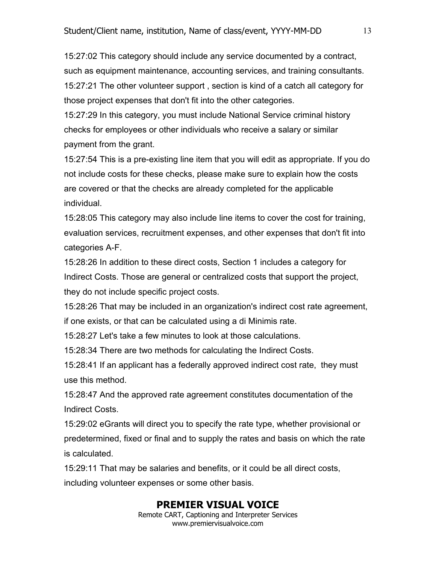15:27:02 This category should include any service documented by a contract, such as equipment maintenance, accounting services, and training consultants. 15:27:21 The other volunteer support , section is kind of a catch all category for those project expenses that don't fit into the other categories.

15:27:29 In this category, you must include National Service criminal history checks for employees or other individuals who receive a salary or similar payment from the grant.

15:27:54 This is a pre-existing line item that you will edit as appropriate. If you do not include costs for these checks, please make sure to explain how the costs are covered or that the checks are already completed for the applicable individual.

15:28:05 This category may also include line items to cover the cost for training, evaluation services, recruitment expenses, and other expenses that don't fit into categories A-F.

15:28:26 In addition to these direct costs, Section 1 includes a category for Indirect Costs. Those are general or centralized costs that support the project, they do not include specific project costs.

15:28:26 That may be included in an organization's indirect cost rate agreement, if one exists, or that can be calculated using a di Minimis rate.

15:28:27 Let's take a few minutes to look at those calculations.

15:28:34 There are two methods for calculating the Indirect Costs.

15:28:41 If an applicant has a federally approved indirect cost rate, they must use this method.

15:28:47 And the approved rate agreement constitutes documentation of the Indirect Costs.

15:29:02 eGrants will direct you to specify the rate type, whether provisional or predetermined, fixed or final and to supply the rates and basis on which the rate is calculated.

15:29:11 That may be salaries and benefits, or it could be all direct costs, including volunteer expenses or some other basis.

## **PREMIER VISUAL VOICE**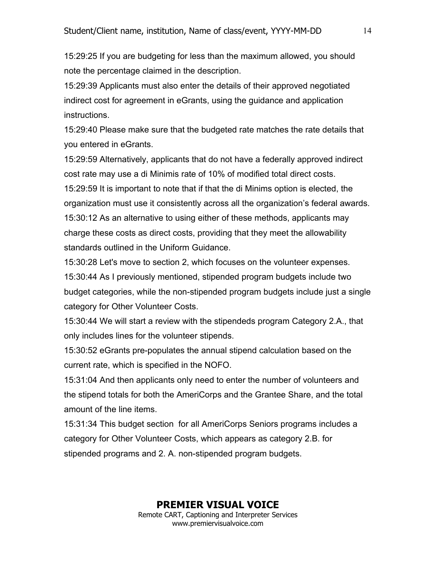15:29:25 If you are budgeting for less than the maximum allowed, you should note the percentage claimed in the description.

15:29:39 Applicants must also enter the details of their approved negotiated indirect cost for agreement in eGrants, using the guidance and application instructions.

15:29:40 Please make sure that the budgeted rate matches the rate details that you entered in eGrants.

15:29:59 Alternatively, applicants that do not have a federally approved indirect cost rate may use a di Minimis rate of 10% of modified total direct costs. 15:29:59 It is important to note that if that the di Minims option is elected, the organization must use it consistently across all the organization's federal awards. 15:30:12 As an alternative to using either of these methods, applicants may charge these costs as direct costs, providing that they meet the allowability standards outlined in the Uniform Guidance.

15:30:28 Let's move to section 2, which focuses on the volunteer expenses. 15:30:44 As I previously mentioned, stipended program budgets include two budget categories, while the non-stipended program budgets include just a single category for Other Volunteer Costs.

15:30:44 We will start a review with the stipendeds program Category 2.A., that only includes lines for the volunteer stipends.

15:30:52 eGrants pre-populates the annual stipend calculation based on the current rate, which is specified in the NOFO.

15:31:04 And then applicants only need to enter the number of volunteers and the stipend totals for both the AmeriCorps and the Grantee Share, and the total amount of the line items.

15:31:34 This budget section for all AmeriCorps Seniors programs includes a category for Other Volunteer Costs, which appears as category 2.B. for stipended programs and 2. A. non-stipended program budgets.

# **PREMIER VISUAL VOICE**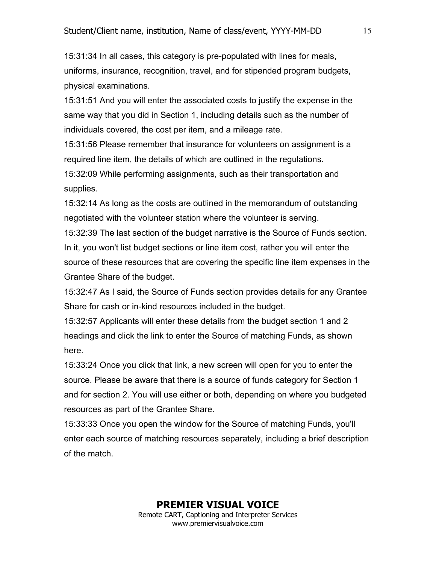15:31:34 In all cases, this category is pre-populated with lines for meals, uniforms, insurance, recognition, travel, and for stipended program budgets, physical examinations.

15:31:51 And you will enter the associated costs to justify the expense in the same way that you did in Section 1, including details such as the number of individuals covered, the cost per item, and a mileage rate.

15:31:56 Please remember that insurance for volunteers on assignment is a required line item, the details of which are outlined in the regulations.

15:32:09 While performing assignments, such as their transportation and supplies.

15:32:14 As long as the costs are outlined in the memorandum of outstanding negotiated with the volunteer station where the volunteer is serving.

15:32:39 The last section of the budget narrative is the Source of Funds section. In it, you won't list budget sections or line item cost, rather you will enter the source of these resources that are covering the specific line item expenses in the Grantee Share of the budget.

15:32:47 As I said, the Source of Funds section provides details for any Grantee Share for cash or in-kind resources included in the budget.

15:32:57 Applicants will enter these details from the budget section 1 and 2 headings and click the link to enter the Source of matching Funds, as shown here.

15:33:24 Once you click that link, a new screen will open for you to enter the source. Please be aware that there is a source of funds category for Section 1 and for section 2. You will use either or both, depending on where you budgeted resources as part of the Grantee Share.

15:33:33 Once you open the window for the Source of matching Funds, you'll enter each source of matching resources separately, including a brief description of the match.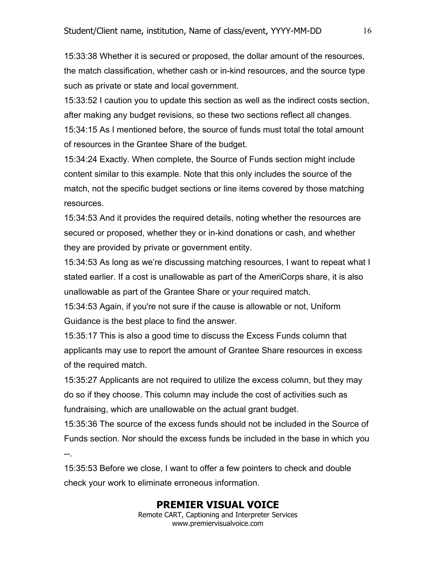15:33:38 Whether it is secured or proposed, the dollar amount of the resources, the match classification, whether cash or in-kind resources, and the source type such as private or state and local government.

15:33:52 I caution you to update this section as well as the indirect costs section, after making any budget revisions, so these two sections reflect all changes. 15:34:15 As I mentioned before, the source of funds must total the total amount of resources in the Grantee Share of the budget.

15:34:24 Exactly. When complete, the Source of Funds section might include content similar to this example. Note that this only includes the source of the match, not the specific budget sections or line items covered by those matching resources.

15:34:53 And it provides the required details, noting whether the resources are secured or proposed, whether they or in-kind donations or cash, and whether they are provided by private or government entity.

15:34:53 As long as we're discussing matching resources, I want to repeat what I stated earlier. If a cost is unallowable as part of the AmeriCorps share, it is also unallowable as part of the Grantee Share or your required match.

15:34:53 Again, if you're not sure if the cause is allowable or not, Uniform Guidance is the best place to find the answer.

15:35:17 This is also a good time to discuss the Excess Funds column that applicants may use to report the amount of Grantee Share resources in excess of the required match.

15:35:27 Applicants are not required to utilize the excess column, but they may do so if they choose. This column may include the cost of activities such as fundraising, which are unallowable on the actual grant budget.

15:35:36 The source of the excess funds should not be included in the Source of Funds section. Nor should the excess funds be included in the base in which you --.

15:35:53 Before we close, I want to offer a few pointers to check and double check your work to eliminate erroneous information.

# **PREMIER VISUAL VOICE**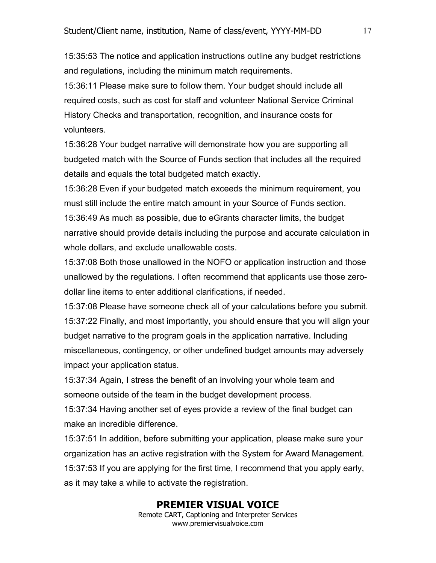15:35:53 The notice and application instructions outline any budget restrictions and regulations, including the minimum match requirements.

15:36:11 Please make sure to follow them. Your budget should include all required costs, such as cost for staff and volunteer National Service Criminal History Checks and transportation, recognition, and insurance costs for volunteers.

15:36:28 Your budget narrative will demonstrate how you are supporting all budgeted match with the Source of Funds section that includes all the required details and equals the total budgeted match exactly.

15:36:28 Even if your budgeted match exceeds the minimum requirement, you must still include the entire match amount in your Source of Funds section. 15:36:49 As much as possible, due to eGrants character limits, the budget narrative should provide details including the purpose and accurate calculation in whole dollars, and exclude unallowable costs.

15:37:08 Both those unallowed in the NOFO or application instruction and those unallowed by the regulations. I often recommend that applicants use those zerodollar line items to enter additional clarifications, if needed.

15:37:08 Please have someone check all of your calculations before you submit. 15:37:22 Finally, and most importantly, you should ensure that you will align your budget narrative to the program goals in the application narrative. Including miscellaneous, contingency, or other undefined budget amounts may adversely impact your application status.

15:37:34 Again, I stress the benefit of an involving your whole team and someone outside of the team in the budget development process.

15:37:34 Having another set of eyes provide a review of the final budget can make an incredible difference.

15:37:51 In addition, before submitting your application, please make sure your organization has an active registration with the System for Award Management. 15:37:53 If you are applying for the first time, I recommend that you apply early, as it may take a while to activate the registration.

## **PREMIER VISUAL VOICE**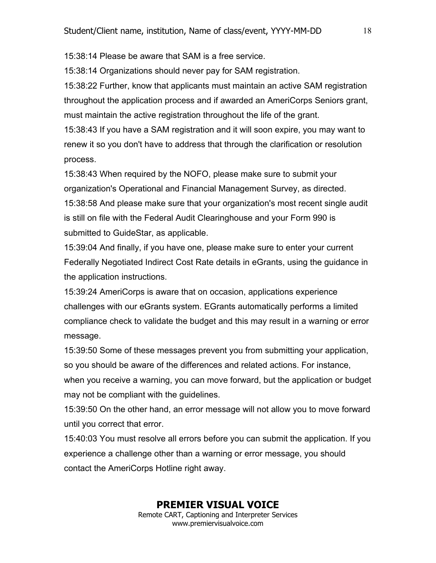15:38:14 Please be aware that SAM is a free service.

15:38:14 Organizations should never pay for SAM registration.

15:38:22 Further, know that applicants must maintain an active SAM registration throughout the application process and if awarded an AmeriCorps Seniors grant, must maintain the active registration throughout the life of the grant.

15:38:43 If you have a SAM registration and it will soon expire, you may want to renew it so you don't have to address that through the clarification or resolution process.

15:38:43 When required by the NOFO, please make sure to submit your organization's Operational and Financial Management Survey, as directed. 15:38:58 And please make sure that your organization's most recent single audit is still on file with the Federal Audit Clearinghouse and your Form 990 is submitted to GuideStar, as applicable.

15:39:04 And finally, if you have one, please make sure to enter your current Federally Negotiated Indirect Cost Rate details in eGrants, using the guidance in the application instructions.

15:39:24 AmeriCorps is aware that on occasion, applications experience challenges with our eGrants system. EGrants automatically performs a limited compliance check to validate the budget and this may result in a warning or error message.

15:39:50 Some of these messages prevent you from submitting your application, so you should be aware of the differences and related actions. For instance, when you receive a warning, you can move forward, but the application or budget may not be compliant with the guidelines.

15:39:50 On the other hand, an error message will not allow you to move forward until you correct that error.

15:40:03 You must resolve all errors before you can submit the application. If you experience a challenge other than a warning or error message, you should contact the AmeriCorps Hotline right away.

## **PREMIER VISUAL VOICE**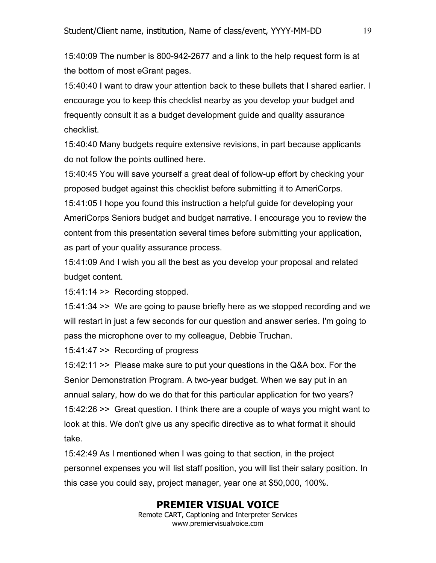15:40:09 The number is 800-942-2677 and a link to the help request form is at the bottom of most eGrant pages.

15:40:40 I want to draw your attention back to these bullets that I shared earlier. I encourage you to keep this checklist nearby as you develop your budget and frequently consult it as a budget development guide and quality assurance checklist.

15:40:40 Many budgets require extensive revisions, in part because applicants do not follow the points outlined here.

15:40:45 You will save yourself a great deal of follow-up effort by checking your proposed budget against this checklist before submitting it to AmeriCorps.

15:41:05 I hope you found this instruction a helpful guide for developing your AmeriCorps Seniors budget and budget narrative. I encourage you to review the content from this presentation several times before submitting your application, as part of your quality assurance process.

15:41:09 And I wish you all the best as you develop your proposal and related budget content.

15:41:14 >> Recording stopped.

15:41:34 >> We are going to pause briefly here as we stopped recording and we will restart in just a few seconds for our question and answer series. I'm going to pass the microphone over to my colleague, Debbie Truchan.

15:41:47 >> Recording of progress

15:42:11 >> Please make sure to put your questions in the Q&A box. For the Senior Demonstration Program. A two-year budget. When we say put in an annual salary, how do we do that for this particular application for two years? 15:42:26 >> Great question. I think there are a couple of ways you might want to look at this. We don't give us any specific directive as to what format it should take.

15:42:49 As I mentioned when I was going to that section, in the project personnel expenses you will list staff position, you will list their salary position. In this case you could say, project manager, year one at \$50,000, 100%.

## **PREMIER VISUAL VOICE**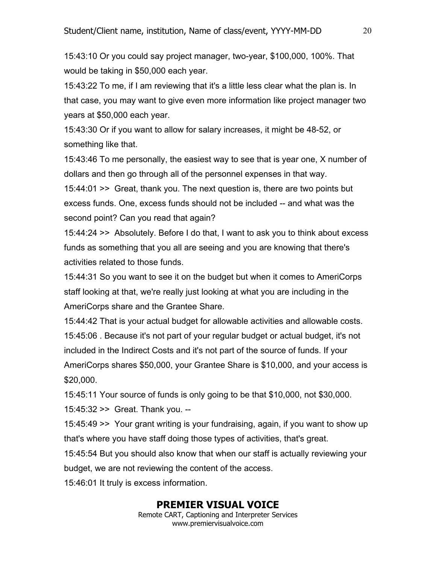15:43:10 Or you could say project manager, two-year, \$100,000, 100%. That would be taking in \$50,000 each year.

15:43:22 To me, if I am reviewing that it's a little less clear what the plan is. In that case, you may want to give even more information like project manager two years at \$50,000 each year.

15:43:30 Or if you want to allow for salary increases, it might be 48-52, or something like that.

15:43:46 To me personally, the easiest way to see that is year one, X number of dollars and then go through all of the personnel expenses in that way.

15:44:01 >> Great, thank you. The next question is, there are two points but excess funds. One, excess funds should not be included -- and what was the second point? Can you read that again?

15:44:24 >> Absolutely. Before I do that, I want to ask you to think about excess funds as something that you all are seeing and you are knowing that there's activities related to those funds.

15:44:31 So you want to see it on the budget but when it comes to AmeriCorps staff looking at that, we're really just looking at what you are including in the AmeriCorps share and the Grantee Share.

15:44:42 That is your actual budget for allowable activities and allowable costs. 15:45:06 . Because it's not part of your regular budget or actual budget, it's not included in the Indirect Costs and it's not part of the source of funds. If your AmeriCorps shares \$50,000, your Grantee Share is \$10,000, and your access is \$20,000.

15:45:11 Your source of funds is only going to be that \$10,000, not \$30,000. 15:45:32 >> Great. Thank you. --

15:45:49 >> Your grant writing is your fundraising, again, if you want to show up that's where you have staff doing those types of activities, that's great.

15:45:54 But you should also know that when our staff is actually reviewing your budget, we are not reviewing the content of the access.

15:46:01 It truly is excess information.

## **PREMIER VISUAL VOICE**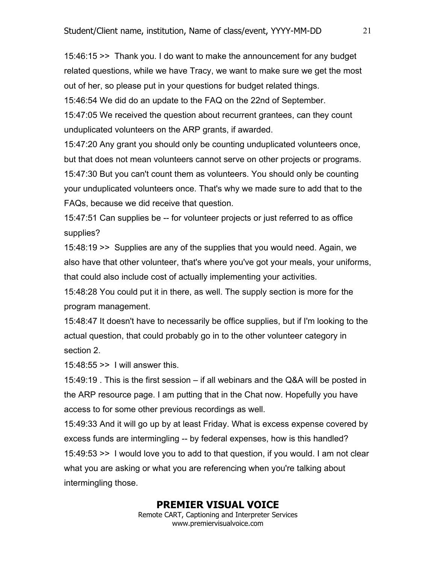15:46:15 >> Thank you. I do want to make the announcement for any budget related questions, while we have Tracy, we want to make sure we get the most out of her, so please put in your questions for budget related things.

15:46:54 We did do an update to the FAQ on the 22nd of September.

15:47:05 We received the question about recurrent grantees, can they count unduplicated volunteers on the ARP grants, if awarded.

15:47:20 Any grant you should only be counting unduplicated volunteers once, but that does not mean volunteers cannot serve on other projects or programs. 15:47:30 But you can't count them as volunteers. You should only be counting your unduplicated volunteers once. That's why we made sure to add that to the FAQs, because we did receive that question.

15:47:51 Can supplies be -- for volunteer projects or just referred to as office supplies?

15:48:19 >> Supplies are any of the supplies that you would need. Again, we also have that other volunteer, that's where you've got your meals, your uniforms, that could also include cost of actually implementing your activities.

15:48:28 You could put it in there, as well. The supply section is more for the program management.

15:48:47 It doesn't have to necessarily be office supplies, but if I'm looking to the actual question, that could probably go in to the other volunteer category in section 2.

15:48:55 >> I will answer this.

15:49:19 . This is the first session – if all webinars and the Q&A will be posted in the ARP resource page. I am putting that in the Chat now. Hopefully you have access to for some other previous recordings as well.

15:49:33 And it will go up by at least Friday. What is excess expense covered by excess funds are intermingling -- by federal expenses, how is this handled? 15:49:53 >> I would love you to add to that question, if you would. I am not clear what you are asking or what you are referencing when you're talking about intermingling those.

## **PREMIER VISUAL VOICE**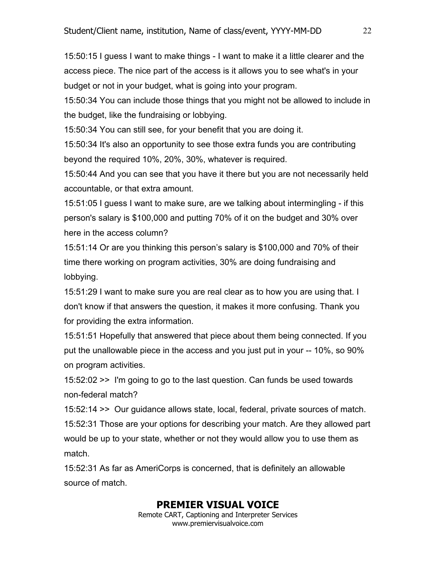15:50:15 I guess I want to make things - I want to make it a little clearer and the access piece. The nice part of the access is it allows you to see what's in your budget or not in your budget, what is going into your program.

15:50:34 You can include those things that you might not be allowed to include in the budget, like the fundraising or lobbying.

15:50:34 You can still see, for your benefit that you are doing it.

15:50:34 It's also an opportunity to see those extra funds you are contributing beyond the required 10%, 20%, 30%, whatever is required.

15:50:44 And you can see that you have it there but you are not necessarily held accountable, or that extra amount.

15:51:05 I guess I want to make sure, are we talking about intermingling - if this person's salary is \$100,000 and putting 70% of it on the budget and 30% over here in the access column?

15:51:14 Or are you thinking this person's salary is \$100,000 and 70% of their time there working on program activities, 30% are doing fundraising and lobbying.

15:51:29 I want to make sure you are real clear as to how you are using that. I don't know if that answers the question, it makes it more confusing. Thank you for providing the extra information.

15:51:51 Hopefully that answered that piece about them being connected. If you put the unallowable piece in the access and you just put in your -- 10%, so 90% on program activities.

15:52:02 >> I'm going to go to the last question. Can funds be used towards non-federal match?

15:52:14 >> Our guidance allows state, local, federal, private sources of match. 15:52:31 Those are your options for describing your match. Are they allowed part would be up to your state, whether or not they would allow you to use them as match.

15:52:31 As far as AmeriCorps is concerned, that is definitely an allowable source of match.

## **PREMIER VISUAL VOICE**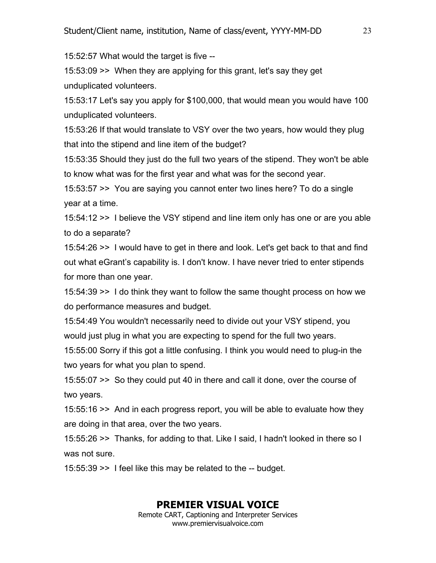15:52:57 What would the target is five --

15:53:09 >> When they are applying for this grant, let's say they get unduplicated volunteers.

15:53:17 Let's say you apply for \$100,000, that would mean you would have 100 unduplicated volunteers.

15:53:26 If that would translate to VSY over the two years, how would they plug that into the stipend and line item of the budget?

15:53:35 Should they just do the full two years of the stipend. They won't be able to know what was for the first year and what was for the second year.

15:53:57 >> You are saying you cannot enter two lines here? To do a single year at a time.

15:54:12 >> I believe the VSY stipend and line item only has one or are you able to do a separate?

15:54:26 >> I would have to get in there and look. Let's get back to that and find out what eGrant's capability is. I don't know. I have never tried to enter stipends for more than one year.

15:54:39 >> I do think they want to follow the same thought process on how we do performance measures and budget.

15:54:49 You wouldn't necessarily need to divide out your VSY stipend, you would just plug in what you are expecting to spend for the full two years.

15:55:00 Sorry if this got a little confusing. I think you would need to plug-in the two years for what you plan to spend.

15:55:07 >> So they could put 40 in there and call it done, over the course of two years.

15:55:16 >> And in each progress report, you will be able to evaluate how they are doing in that area, over the two years.

15:55:26 >> Thanks, for adding to that. Like I said, I hadn't looked in there so I was not sure.

15:55:39 >> I feel like this may be related to the -- budget.

# **PREMIER VISUAL VOICE**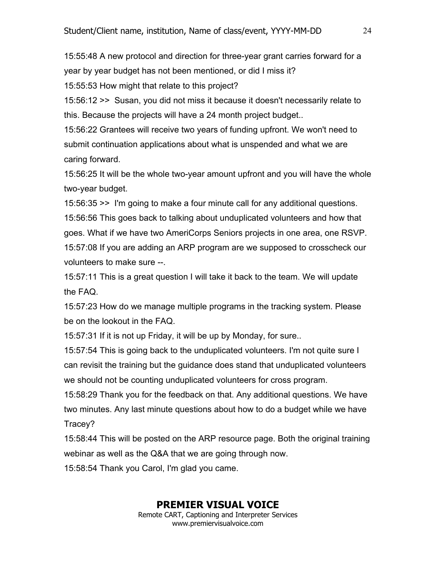15:55:48 A new protocol and direction for three-year grant carries forward for a year by year budget has not been mentioned, or did I miss it? 15:55:53 How might that relate to this project?

15:56:12 >> Susan, you did not miss it because it doesn't necessarily relate to this. Because the projects will have a 24 month project budget..

15:56:22 Grantees will receive two years of funding upfront. We won't need to submit continuation applications about what is unspended and what we are caring forward.

15:56:25 It will be the whole two-year amount upfront and you will have the whole two-year budget.

15:56:35 >> I'm going to make a four minute call for any additional questions. 15:56:56 This goes back to talking about unduplicated volunteers and how that goes. What if we have two AmeriCorps Seniors projects in one area, one RSVP. 15:57:08 If you are adding an ARP program are we supposed to crosscheck our volunteers to make sure --.

15:57:11 This is a great question I will take it back to the team. We will update the FAQ.

15:57:23 How do we manage multiple programs in the tracking system. Please be on the lookout in the FAQ.

15:57:31 If it is not up Friday, it will be up by Monday, for sure..

15:57:54 This is going back to the unduplicated volunteers. I'm not quite sure I can revisit the training but the guidance does stand that unduplicated volunteers we should not be counting unduplicated volunteers for cross program.

15:58:29 Thank you for the feedback on that. Any additional questions. We have two minutes. Any last minute questions about how to do a budget while we have Tracey?

15:58:44 This will be posted on the ARP resource page. Both the original training webinar as well as the Q&A that we are going through now.

15:58:54 Thank you Carol, I'm glad you came.

## **PREMIER VISUAL VOICE**